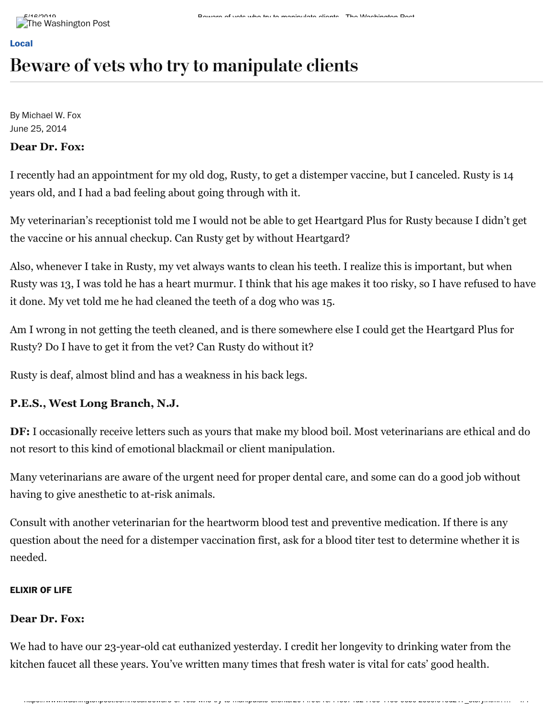# Beware of vets who try to manipulate clients

By Michael W. Fox June 25, 2014

# **Dear Dr. Fox:**

I recently had an appointment for my old dog, Rusty, to get a distemper vaccine, but I canceled. Rusty is 14 years old, and I had a bad feeling about going through with it.

My veterinarian's receptionist told me I would not be able to get Heartgard Plus for Rusty because I didn't get the vaccine or his annual checkup. Can Rusty get by without Heartgard?

Also, whenever I take in Rusty, my vet always wants to clean his teeth. I realize this is important, but when Rusty was 13, I was told he has a heart murmur. I think that his age makes it too risky, so I have refused to have it done. My vet told me he had cleaned the teeth of a dog who was 15.

Am I wrong in not getting the teeth cleaned, and is there somewhere else I could get the Heartgard Plus for Rusty? Do I have to get it from the vet? Can Rusty do without it?

Rusty is deaf, almost blind and has a weakness in his back legs.

# **P.E.S., West Long Branch, N.J.**

**DF:** I occasionally receive letters such as yours that make my blood boil. Most veterinarians are ethical and do not resort to this kind of emotional blackmail or client manipulation.

Many veterinarians are aware of the urgent need for proper dental care, and some can do a good job without having to give anesthetic to at-risk animals.

Consult with another veterinarian for the heartworm blood test and preventive medication. If there is any question about the need for a distemper vaccination first, ask for a blood titer test to determine whether it is needed.

# **ELIXIR OF LIFE**

# **Dear Dr. Fox:**

We had to have our 23-year-old cat euthanized yesterday. I credit her longevity to drinking water from the kitchen faucet all these years. You've written many times that fresh water is vital for cats' good health.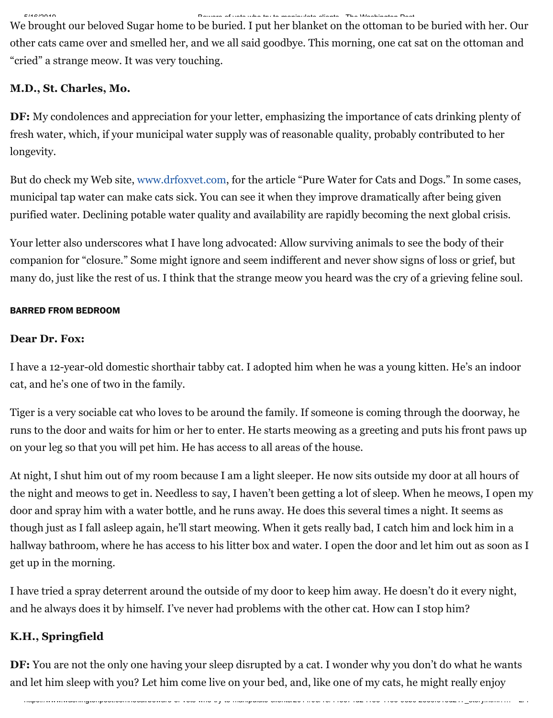#### 5/16/2019 Beware of vets who try to manipulate clients - The Washington Post

We brought our beloved Sugar home to be buried. I put her blanket on the ottoman to be buried with her. Our other cats came over and smelled her, and we all said goodbye. This morning, one cat sat on the ottoman and "cried" a strange meow. It was very touching.

# **M.D., St. Charles, Mo.**

**DF:** My condolences and appreciation for your letter, emphasizing the importance of cats drinking plenty of fresh water, which, if your municipal water supply was of reasonable quality, probably contributed to her longevity.

But do check my Web site, [www.drfoxvet.com](http://www.drfoxvet.com/), for the article "Pure Water for Cats and Dogs." In some cases, municipal tap water can make cats sick. You can see it when they improve dramatically after being given purified water. Declining potable water quality and availability are rapidly becoming the next global crisis.

Your letter also underscores what I have long advocated: Allow surviving animals to see the body of their companion for "closure." Some might ignore and seem indifferent and never show signs of loss or grief, but many do, just like the rest of us. I think that the strange meow you heard was the cry of a grieving feline soul.

## **BARRED FROM BEDROOM**

# **Dear Dr. Fox:**

I have a 12-year-old domestic shorthair tabby cat. I adopted him when he was a young kitten. He's an indoor cat, and he's one of two in the family.

Tiger is a very sociable cat who loves to be around the family. If someone is coming through the doorway, he runs to the door and waits for him or her to enter. He starts meowing as a greeting and puts his front paws up on your leg so that you will pet him. He has access to all areas of the house.

At night, I shut him out of my room because I am a light sleeper. He now sits outside my door at all hours of the night and meows to get in. Needless to say, I haven't been getting a lot of sleep. When he meows, I open my door and spray him with a water bottle, and he runs away. He does this several times a night. It seems as though just as I fall asleep again, he'll start meowing. When it gets really bad, I catch him and lock him in a hallway bathroom, where he has access to his litter box and water. I open the door and let him out as soon as I get up in the morning.

I have tried a spray deterrent around the outside of my door to keep him away. He doesn't do it every night, and he always does it by himself. I've never had problems with the other cat. How can I stop him?

# **K.H., Springfield**

**DF:** You are not the only one having your sleep disrupted by a cat. I wonder why you don't do what he wants and let him sleep with you? Let him come live on your bed, and, like one of my cats, he might really enjoy

https://www.washingtonpost.com/local/beware-of-vets-who-try-to-manipulate-clients/2014/06/19/44e674d2-f18e-11e3-9ebc-2ee6f81ed217\_story.html?… 2/4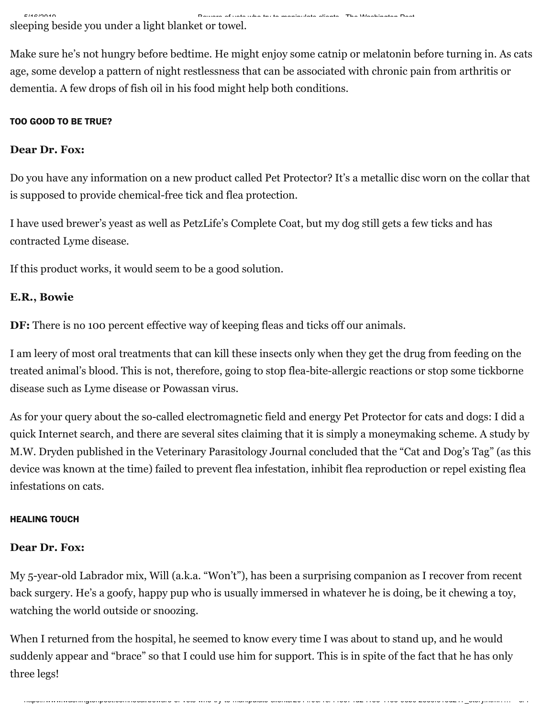5/16/2019 Beware of vets who try to manipulate clients - The Washington Post sleeping beside you under a light blanket or towel.

Make sure he's not hungry before bedtime. He might enjoy some catnip or melatonin before turning in. As cats age, some develop a pattern of night restlessness that can be associated with chronic pain from arthritis or dementia. A few drops of fish oil in his food might help both conditions.

## **TOO GOOD TO BE TRUE?**

### **Dear Dr. Fox:**

Do you have any information on a new product called Pet Protector? It's a metallic disc worn on the collar that is supposed to provide chemical-free tick and flea protection.

I have used brewer's yeast as well as PetzLife's Complete Coat, but my dog still gets a few ticks and has contracted Lyme disease.

If this product works, it would seem to be a good solution.

# **E.R., Bowie**

**DF:** There is no 100 percent effective way of keeping fleas and ticks off our animals.

I am leery of most oral treatments that can kill these insects only when they get the drug from feeding on the treated animal's blood. This is not, therefore, going to stop flea-bite-allergic reactions or stop some tickborne disease such as Lyme disease or Powassan virus.

As for your query about the so-called electromagnetic field and energy Pet Protector for cats and dogs: I did a quick Internet search, and there are several sites claiming that it is simply a moneymaking scheme. A study by M.W. Dryden published in the Veterinary Parasitology Journal concluded that the "Cat and Dog's Tag" (as this device was known at the time) failed to prevent flea infestation, inhibit flea reproduction or repel existing flea infestations on cats.

#### **HEALING TOUCH**

#### **Dear Dr. Fox:**

My 5-year-old Labrador mix, Will (a.k.a. "Won't"), has been a surprising companion as I recover from recent back surgery. He's a goofy, happy pup who is usually immersed in whatever he is doing, be it chewing a toy, watching the world outside or snoozing.

When I returned from the hospital, he seemed to know every time I was about to stand up, and he would suddenly appear and "brace" so that I could use him for support. This is in spite of the fact that he has only three legs!

https://www.washingtonpost.com/local/beware-of-vets-who-try-to-manipulate-clients/2014/06/19/44e674d2-f18e-11e3-9ebc-2ee6f81ed217\_story.html?… 3/4